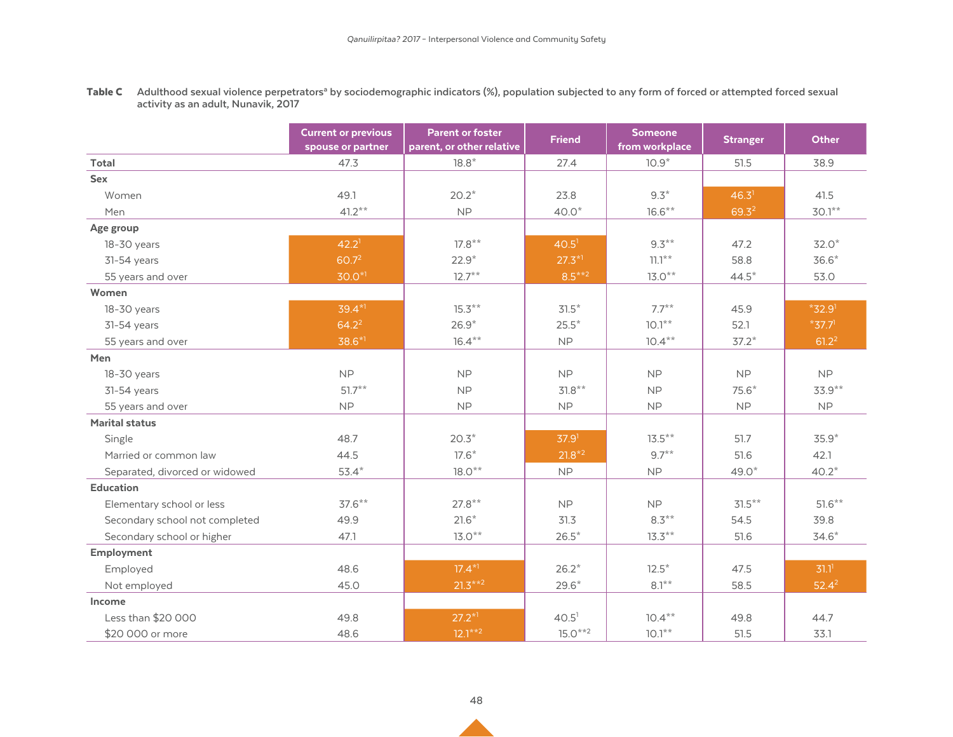Table C Adulthood sexual violence perpetrators<sup>a</sup> by sociodemographic indicators (%), population subjected to any form of forced or attempted forced sexual **activity as an adult, Nunavik, 2017**

|                                | <b>Current or previous</b><br>spouse or partner | <b>Parent or foster</b><br>parent, or other relative | <b>Friend</b>     | <b>Someone</b><br>from workplace | <b>Stranger</b>   | <b>Other</b>         |
|--------------------------------|-------------------------------------------------|------------------------------------------------------|-------------------|----------------------------------|-------------------|----------------------|
| <b>Total</b>                   | 47.3                                            | $18.8*$                                              | 27.4              | $10.9*$                          | 51.5              | 38.9                 |
| Sex                            |                                                 |                                                      |                   |                                  |                   |                      |
| Women                          | 49.1                                            | $20.2*$                                              | 23.8              | $9.3*$                           | 46.3 <sup>1</sup> | 41.5                 |
| Men                            | $41.2***$                                       | <b>NP</b>                                            | $40.0*$           | $16.6***$                        | 69.32             | $30.1***$            |
| Age group                      |                                                 |                                                      |                   |                                  |                   |                      |
| 18-30 years                    | 42.2 <sup>1</sup>                               | $17.8***$                                            | 40.5 <sup>1</sup> | $9.3***$                         | 47.2              | $32.0*$              |
| 31-54 years                    | 60.72                                           | $22.9*$                                              | $27.3*1$          | $71.7**$                         | 58.8              | $36.6*$              |
| 55 years and over              | $30.0*1$                                        | $12.7**$                                             | $8.5***2$         | $13.0**$                         | $44.5*$           | 53.0                 |
| Women                          |                                                 |                                                      |                   |                                  |                   |                      |
| 18-30 years                    | $39.4*1$                                        | $15.3***$                                            | $31.5*$           | $7.7***$                         | 45.9              | $*32.91$             |
| 31-54 years                    | $64.2^2$                                        | $26.9*$                                              | $25.5*$           | $10.1***$                        | 52.1              | $*37.7$ <sup>1</sup> |
| 55 years and over              | 38.6*1                                          | $16.4***$                                            | NP                | $10.4***$                        | $37.2*$           | 61.2 <sup>2</sup>    |
| Men                            |                                                 |                                                      |                   |                                  |                   |                      |
| 18-30 years                    | <b>NP</b>                                       | <b>NP</b>                                            | <b>NP</b>         | <b>NP</b>                        | <b>NP</b>         | <b>NP</b>            |
| 31-54 years                    | $51.7**$                                        | <b>NP</b>                                            | $31.8**$          | <b>NP</b>                        | $75.6*$           | $33.9***$            |
| 55 years and over              | <b>NP</b>                                       | <b>NP</b>                                            | <b>NP</b>         | <b>NP</b>                        | <b>NP</b>         | <b>NP</b>            |
| <b>Marital status</b>          |                                                 |                                                      |                   |                                  |                   |                      |
| Single                         | 48.7                                            | $20.3*$                                              | 37.9 <sup>1</sup> | $13.5***$                        | 51.7              | $35.9*$              |
| Married or common law          | 44.5                                            | $17.6*$                                              | $21.8*2$          | $9.7***$                         | 51.6              | 42.1                 |
| Separated, divorced or widowed | $53.4*$                                         | $18.0**$                                             | <b>NP</b>         | ${\sf NP}$                       | $49.0*$           | $40.2*$              |
| <b>Education</b>               |                                                 |                                                      |                   |                                  |                   |                      |
| Elementary school or less      | $37.6***$                                       | $27.8***$                                            | <b>NP</b>         | <b>NP</b>                        | $31.5***$         | $51.6***$            |
| Secondary school not completed | 49.9                                            | $21.6*$                                              | 31.3              | $8.3***$                         | 54.5              | 39.8                 |
| Secondary school or higher     | 47.1                                            | $13.0***$                                            | $26.5*$           | $13.3***$                        | 51.6              | $34.6*$              |
| Employment                     |                                                 |                                                      |                   |                                  |                   |                      |
| Employed                       | 48.6                                            | $17.4*1$                                             | $26.2*$           | $12.5*$                          | 47.5              | 31.1 <sup>1</sup>    |
| Not employed                   | 45.0                                            | $21.3***2$                                           | $29.6*$           | $8.1***$                         | 58.5              | $52.4^2$             |
| Income                         |                                                 |                                                      |                   |                                  |                   |                      |
| Less than \$20 000             | 49.8                                            | $27.2*1$                                             | 40.5 <sup>1</sup> | $10.4***$                        | 49.8              | 44.7                 |
| \$20 000 or more               | 48.6                                            | $12.1***2$                                           | $15.0***2$        | $10.1***$                        | 51.5              | 33.1                 |